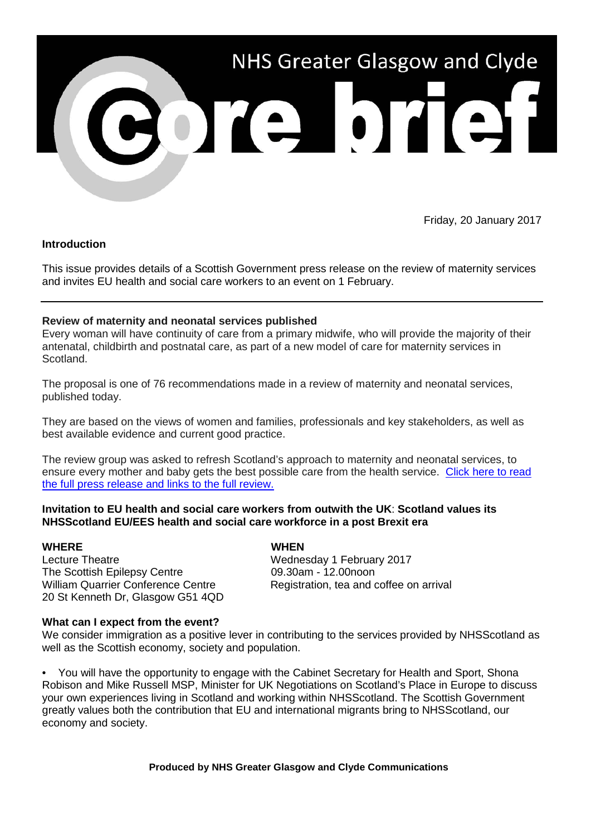

Friday, 20 January 2017

## **Introduction**

This issue provides details of a Scottish Government press release on the review of maternity services and invites EU health and social care workers to an event on 1 February.

# **Review of maternity and neonatal services published**

Every woman will have continuity of care from a primary midwife, who will provide the majority of their antenatal, childbirth and postnatal care, as part of a new model of care for maternity services in Scotland.

The proposal is one of 76 recommendations made in a review of maternity and neonatal services, published today.

They are based on the views of women and families, professionals and key stakeholders, as well as best available evidence and current good practice.

The review group was asked to refresh Scotland's approach to maternity and neonatal services, to ensure every mother and baby gets the best possible care from the health service. [Click here to read](http://news.gov.scot/news/review-of-maternity-and-neonatal-services-published)  [the full press release and links to the full review.](http://news.gov.scot/news/review-of-maternity-and-neonatal-services-published)

### **Invitation to EU health and social care workers from outwith the UK**: **Scotland values its NHSScotland EU/EES health and social care workforce in a post Brexit era**

### **WHERE WHEN**

Lecture Theatre **Mateurs** 2017 The Scottish Epilepsy Centre 09.30am - 12.00noon William Quarrier Conference Centre Registration, tea and coffee on arrival 20 St Kenneth Dr, Glasgow G51 4QD

### **What can I expect from the event?**

We consider immigration as a positive lever in contributing to the services provided by NHSScotland as well as the Scottish economy, society and population.

• You will have the opportunity to engage with the Cabinet Secretary for Health and Sport, Shona Robison and Mike Russell MSP, Minister for UK Negotiations on Scotland's Place in Europe to discuss your own experiences living in Scotland and working within NHSScotland. The Scottish Government greatly values both the contribution that EU and international migrants bring to NHSScotland, our economy and society.